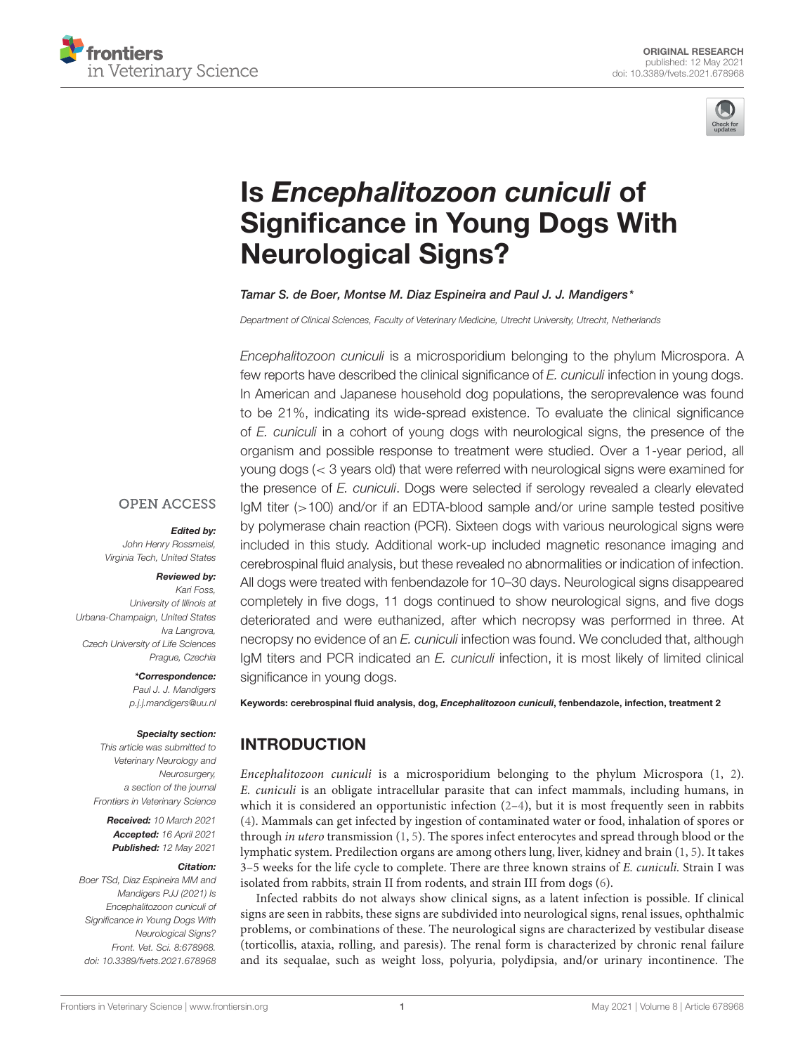



# Is Encephalitozoon cuniculi of [Significance in Young Dogs With](https://www.frontiersin.org/articles/10.3389/fvets.2021.678968/full) Neurological Signs?

Tamar S. de Boer, Montse M. Diaz Espineira and Paul J. J. Mandigers\*

*Department of Clinical Sciences, Faculty of Veterinary Medicine, Utrecht University, Utrecht, Netherlands*

*Encephalitozoon cuniculi* is a microsporidium belonging to the phylum Microspora. A few reports have described the clinical significance of *E. cuniculi* infection in young dogs. In American and Japanese household dog populations, the seroprevalence was found to be 21%, indicating its wide-spread existence. To evaluate the clinical significance of *E. cuniculi* in a cohort of young dogs with neurological signs, the presence of the organism and possible response to treatment were studied. Over a 1-year period, all young dogs (< 3 years old) that were referred with neurological signs were examined for the presence of *E. cuniculi*. Dogs were selected if serology revealed a clearly elevated IgM titer (>100) and/or if an EDTA-blood sample and/or urine sample tested positive by polymerase chain reaction (PCR). Sixteen dogs with various neurological signs were included in this study. Additional work-up included magnetic resonance imaging and cerebrospinal fluid analysis, but these revealed no abnormalities or indication of infection. All dogs were treated with fenbendazole for 10–30 days. Neurological signs disappeared completely in five dogs, 11 dogs continued to show neurological signs, and five dogs deteriorated and were euthanized, after which necropsy was performed in three. At necropsy no evidence of an *E. cuniculi* infection was found. We concluded that, although IgM titers and PCR indicated an *E. cuniculi* infection, it is most likely of limited clinical significance in young dogs.

**OPEN ACCESS** 

#### Edited by:

*John Henry Rossmeisl, Virginia Tech, United States*

#### Reviewed by:

*Kari Foss, University of Illinois at Urbana-Champaign, United States Iva Langrova, Czech University of Life Sciences Prague, Czechia*

> \*Correspondence: *Paul J. J. Mandigers [p.j.j.mandigers@uu.nl](mailto:p.j.j.mandigers@uu.nl)*

#### Specialty section:

*This article was submitted to Veterinary Neurology and Neurosurgery, a section of the journal Frontiers in Veterinary Science*

Received: *10 March 2021* Accepted: *16 April 2021* Published: *12 May 2021*

#### Citation:

*Boer TSd, Diaz Espineira MM and Mandigers PJJ (2021) Is Encephalitozoon cuniculi of Significance in Young Dogs With Neurological Signs? Front. Vet. Sci. 8:678968. doi: [10.3389/fvets.2021.678968](https://doi.org/10.3389/fvets.2021.678968)*

Keywords: cerebrospinal fluid analysis, dog, Encephalitozoon cuniculi, fenbendazole, infection, treatment 2

# INTRODUCTION

Encephalitozoon cuniculi is a microsporidium belonging to the phylum Microspora [\(1,](#page-4-0) [2\)](#page-4-1). E. cuniculi is an obligate intracellular parasite that can infect mammals, including humans, in which it is considered an opportunistic infection  $(2-4)$ , but it is most frequently seen in rabbits [\(4\)](#page-4-2). Mammals can get infected by ingestion of contaminated water or food, inhalation of spores or through in utero transmission [\(1,](#page-4-0) [5\)](#page-4-3). The spores infect enterocytes and spread through blood or the lymphatic system. Predilection organs are among others lung, liver, kidney and brain [\(1,](#page-4-0) [5\)](#page-4-3). It takes 3–5 weeks for the life cycle to complete. There are three known strains of E. cuniculi. Strain I was isolated from rabbits, strain II from rodents, and strain III from dogs [\(6\)](#page-4-4).

Infected rabbits do not always show clinical signs, as a latent infection is possible. If clinical signs are seen in rabbits, these signs are subdivided into neurological signs, renal issues, ophthalmic problems, or combinations of these. The neurological signs are characterized by vestibular disease (torticollis, ataxia, rolling, and paresis). The renal form is characterized by chronic renal failure and its sequalae, such as weight loss, polyuria, polydipsia, and/or urinary incontinence. The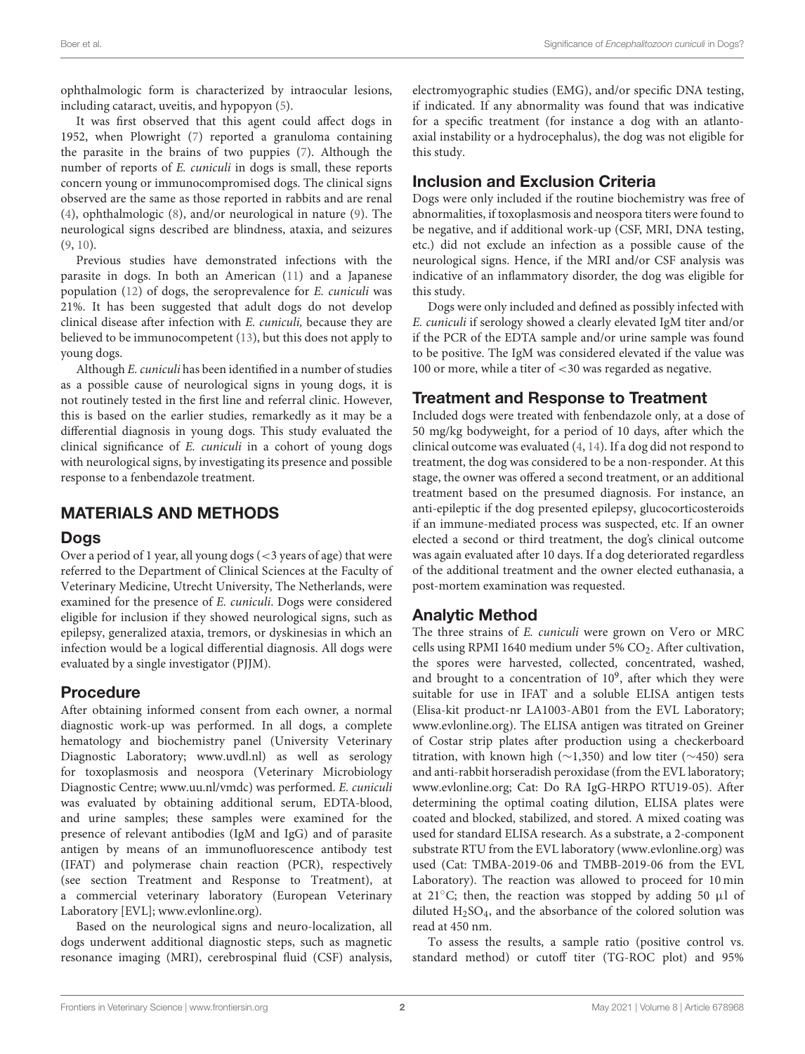ophthalmologic form is characterized by intraocular lesions, including cataract, uveitis, and hypopyon [\(5\)](#page-4-3).

It was first observed that this agent could affect dogs in 1952, when Plowright [\(7\)](#page-5-0) reported a granuloma containing the parasite in the brains of two puppies [\(7\)](#page-5-0). Although the number of reports of E. cuniculi in dogs is small, these reports concern young or immunocompromised dogs. The clinical signs observed are the same as those reported in rabbits and are renal [\(4\)](#page-4-2), ophthalmologic [\(8\)](#page-5-1), and/or neurological in nature [\(9\)](#page-5-2). The neurological signs described are blindness, ataxia, and seizures [\(9,](#page-5-2) [10\)](#page-5-3).

Previous studies have demonstrated infections with the parasite in dogs. In both an American [\(11\)](#page-5-4) and a Japanese population [\(12\)](#page-5-5) of dogs, the seroprevalence for E. cuniculi was 21%. It has been suggested that adult dogs do not develop clinical disease after infection with E. cuniculi, because they are believed to be immunocompetent [\(13\)](#page-5-6), but this does not apply to young dogs.

Although E. cuniculi has been identified in a number of studies as a possible cause of neurological signs in young dogs, it is not routinely tested in the first line and referral clinic. However, this is based on the earlier studies, remarkedly as it may be a differential diagnosis in young dogs. This study evaluated the clinical significance of E. cuniculi in a cohort of young dogs with neurological signs, by investigating its presence and possible response to a fenbendazole treatment.

## MATERIALS AND METHODS

## **Dogs**

Over a period of 1 year, all young dogs (<3 years of age) that were referred to the Department of Clinical Sciences at the Faculty of Veterinary Medicine, Utrecht University, The Netherlands, were examined for the presence of E. cuniculi. Dogs were considered eligible for inclusion if they showed neurological signs, such as epilepsy, generalized ataxia, tremors, or dyskinesias in which an infection would be a logical differential diagnosis. All dogs were evaluated by a single investigator (PJJM).

## Procedure

After obtaining informed consent from each owner, a normal diagnostic work-up was performed. In all dogs, a complete hematology and biochemistry panel (University Veterinary Diagnostic Laboratory; [www.uvdl.nl\)](http://www.uvdl.nl) as well as serology for toxoplasmosis and neospora (Veterinary Microbiology Diagnostic Centre; [www.uu.nl/vmdc\)](http://www.uu.nl/vmdc) was performed. E. cuniculi was evaluated by obtaining additional serum, EDTA-blood, and urine samples; these samples were examined for the presence of relevant antibodies (IgM and IgG) and of parasite antigen by means of an immunofluorescence antibody test (IFAT) and polymerase chain reaction (PCR), respectively (see section Treatment and Response to Treatment), at a commercial veterinary laboratory (European Veterinary Laboratory [EVL]; [www.evlonline.org\)](http://www.evlonline.org).

Based on the neurological signs and neuro-localization, all dogs underwent additional diagnostic steps, such as magnetic resonance imaging (MRI), cerebrospinal fluid (CSF) analysis, electromyographic studies (EMG), and/or specific DNA testing, if indicated. If any abnormality was found that was indicative for a specific treatment (for instance a dog with an atlantoaxial instability or a hydrocephalus), the dog was not eligible for this study.

# Inclusion and Exclusion Criteria

Dogs were only included if the routine biochemistry was free of abnormalities, if toxoplasmosis and neospora titers were found to be negative, and if additional work-up (CSF, MRI, DNA testing, etc.) did not exclude an infection as a possible cause of the neurological signs. Hence, if the MRI and/or CSF analysis was indicative of an inflammatory disorder, the dog was eligible for this study.

Dogs were only included and defined as possibly infected with E. cuniculi if serology showed a clearly elevated IgM titer and/or if the PCR of the EDTA sample and/or urine sample was found to be positive. The IgM was considered elevated if the value was 100 or more, while a titer of <30 was regarded as negative.

## Treatment and Response to Treatment

Included dogs were treated with fenbendazole only, at a dose of 50 mg/kg bodyweight, for a period of 10 days, after which the clinical outcome was evaluated [\(4,](#page-4-2) [14\)](#page-5-7). If a dog did not respond to treatment, the dog was considered to be a non-responder. At this stage, the owner was offered a second treatment, or an additional treatment based on the presumed diagnosis. For instance, an anti-epileptic if the dog presented epilepsy, glucocorticosteroids if an immune-mediated process was suspected, etc. If an owner elected a second or third treatment, the dog's clinical outcome was again evaluated after 10 days. If a dog deteriorated regardless of the additional treatment and the owner elected euthanasia, a post-mortem examination was requested.

## Analytic Method

The three strains of E. cuniculi were grown on Vero or MRC cells using RPMI 1640 medium under 5%  $CO<sub>2</sub>$ . After cultivation, the spores were harvested, collected, concentrated, washed, and brought to a concentration of  $10^9$ , after which they were suitable for use in IFAT and a soluble ELISA antigen tests (Elisa-kit product-nr LA1003-AB01 from the EVL Laboratory; [www.evlonline.org\)](http://www.evlonline.org). The ELISA antigen was titrated on Greiner of Costar strip plates after production using a checkerboard titration, with known high (∼1,350) and low titer (∼450) sera and anti-rabbit horseradish peroxidase (from the EVL laboratory; [www.evlonline.org;](http://www.evlonline.org) Cat: Do RA IgG-HRPO RTU19-05). After determining the optimal coating dilution, ELISA plates were coated and blocked, stabilized, and stored. A mixed coating was used for standard ELISA research. As a substrate, a 2-component substrate RTU from the EVL laboratory [\(www.evlonline.org\)](http://www.evlonline.org) was used (Cat: TMBA-2019-06 and TMBB-2019-06 from the EVL Laboratory). The reaction was allowed to proceed for 10 min at 21 $\degree$ C; then, the reaction was stopped by adding 50 µl of diluted  $H<sub>2</sub>SO<sub>4</sub>$ , and the absorbance of the colored solution was read at 450 nm.

To assess the results, a sample ratio (positive control vs. standard method) or cutoff titer (TG-ROC plot) and 95%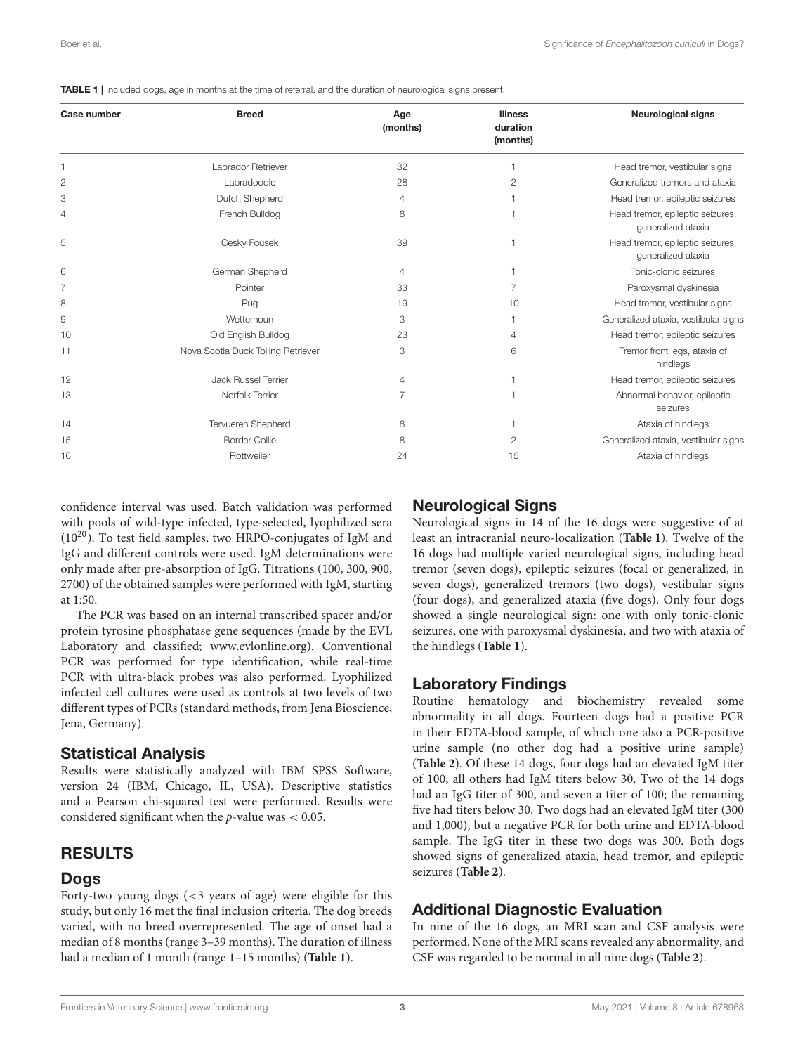<span id="page-2-0"></span>

|  |  | <b>TABLE 1</b>   Included dogs, age in months at the time of referral, and the duration of neurological signs present. |  |  |  |  |
|--|--|------------------------------------------------------------------------------------------------------------------------|--|--|--|--|
|--|--|------------------------------------------------------------------------------------------------------------------------|--|--|--|--|

| Case number | <b>Breed</b>                       | Age<br>(months) | <b>Illness</b><br>duration<br>(months) | <b>Neurological signs</b>                              |
|-------------|------------------------------------|-----------------|----------------------------------------|--------------------------------------------------------|
|             | Labrador Retriever                 | 32              |                                        | Head tremor, vestibular signs                          |
| 2           | Labradoodle                        | 28              | 2                                      | Generalized tremors and ataxia                         |
| 3           | Dutch Shepherd                     | 4               |                                        | Head tremor, epileptic seizures                        |
| 4           | French Bulldog                     | 8               |                                        | Head tremor, epileptic seizures,<br>generalized ataxia |
| 5           | Cesky Fousek                       | 39              |                                        | Head tremor, epileptic seizures,<br>generalized ataxia |
| 6           | German Shepherd                    | $\overline{4}$  |                                        | Tonic-clonic seizures                                  |
| 7           | Pointer                            | 33              | 7                                      | Paroxysmal dyskinesia                                  |
| 8           | Pug                                | 19              | 10                                     | Head tremor, vestibular signs                          |
| 9           | Wetterhoun                         | 3               |                                        | Generalized ataxia, vestibular signs                   |
| 10          | Old English Bulldog                | 23              | 4                                      | Head tremor, epileptic seizures                        |
| 11          | Nova Scotia Duck Tolling Retriever | 3               | 6                                      | Tremor front legs, ataxia of<br>hindlegs               |
| 12          | <b>Jack Russel Terrier</b>         | $\overline{4}$  |                                        | Head tremor, epileptic seizures                        |
| 13          | Norfolk Terrier                    | 7               |                                        | Abnormal behavior, epileptic<br>seizures               |
| 14          | Tervueren Shepherd                 | 8               |                                        | Ataxia of hindlegs                                     |
| 15          | <b>Border Collie</b>               | 8               | 2                                      | Generalized ataxia, vestibular signs                   |
| 16          | Rottweiler                         | 24              | 15                                     | Ataxia of hindlegs                                     |

confidence interval was used. Batch validation was performed with pools of wild-type infected, type-selected, lyophilized sera  $(10^{20})$ . To test field samples, two HRPO-conjugates of IgM and IgG and different controls were used. IgM determinations were only made after pre-absorption of IgG. Titrations (100, 300, 900, 2700) of the obtained samples were performed with IgM, starting at 1:50.

The PCR was based on an internal transcribed spacer and/or protein tyrosine phosphatase gene sequences (made by the EVL Laboratory and classified; [www.evlonline.org\)](http://www.evlonline.org). Conventional PCR was performed for type identification, while real-time PCR with ultra-black probes was also performed. Lyophilized infected cell cultures were used as controls at two levels of two different types of PCRs (standard methods, from Jena Bioscience, Jena, Germany).

## Statistical Analysis

Results were statistically analyzed with IBM SPSS Software, version 24 (IBM, Chicago, IL, USA). Descriptive statistics and a Pearson chi-squared test were performed. Results were considered significant when the  $p$ -value was  $< 0.05$ .

## RESULTS

## **Dogs**

Forty-two young dogs (<3 years of age) were eligible for this study, but only 16 met the final inclusion criteria. The dog breeds varied, with no breed overrepresented. The age of onset had a median of 8 months (range 3–39 months). The duration of illness had a median of 1 month (range 1–15 months) (**[Table 1](#page-2-0)**).

## Neurological Signs

Neurological signs in 14 of the 16 dogs were suggestive of at least an intracranial neuro-localization (**[Table 1](#page-2-0)**). Twelve of the 16 dogs had multiple varied neurological signs, including head tremor (seven dogs), epileptic seizures (focal or generalized, in seven dogs), generalized tremors (two dogs), vestibular signs (four dogs), and generalized ataxia (five dogs). Only four dogs showed a single neurological sign: one with only tonic-clonic seizures, one with paroxysmal dyskinesia, and two with ataxia of the hindlegs (**[Table 1](#page-2-0)**).

## Laboratory Findings

Routine hematology and biochemistry revealed some abnormality in all dogs. Fourteen dogs had a positive PCR in their EDTA-blood sample, of which one also a PCR-positive urine sample (no other dog had a positive urine sample) (**[Table 2](#page-3-0)**). Of these 14 dogs, four dogs had an elevated IgM titer of 100, all others had IgM titers below 30. Two of the 14 dogs had an IgG titer of 300, and seven a titer of 100; the remaining five had titers below 30. Two dogs had an elevated IgM titer (300 and 1,000), but a negative PCR for both urine and EDTA-blood sample. The IgG titer in these two dogs was 300. Both dogs showed signs of generalized ataxia, head tremor, and epileptic seizures (**[Table 2](#page-3-0)**).

## Additional Diagnostic Evaluation

In nine of the 16 dogs, an MRI scan and CSF analysis were performed. None of the MRI scans revealed any abnormality, and CSF was regarded to be normal in all nine dogs (**[Table 2](#page-3-0)**).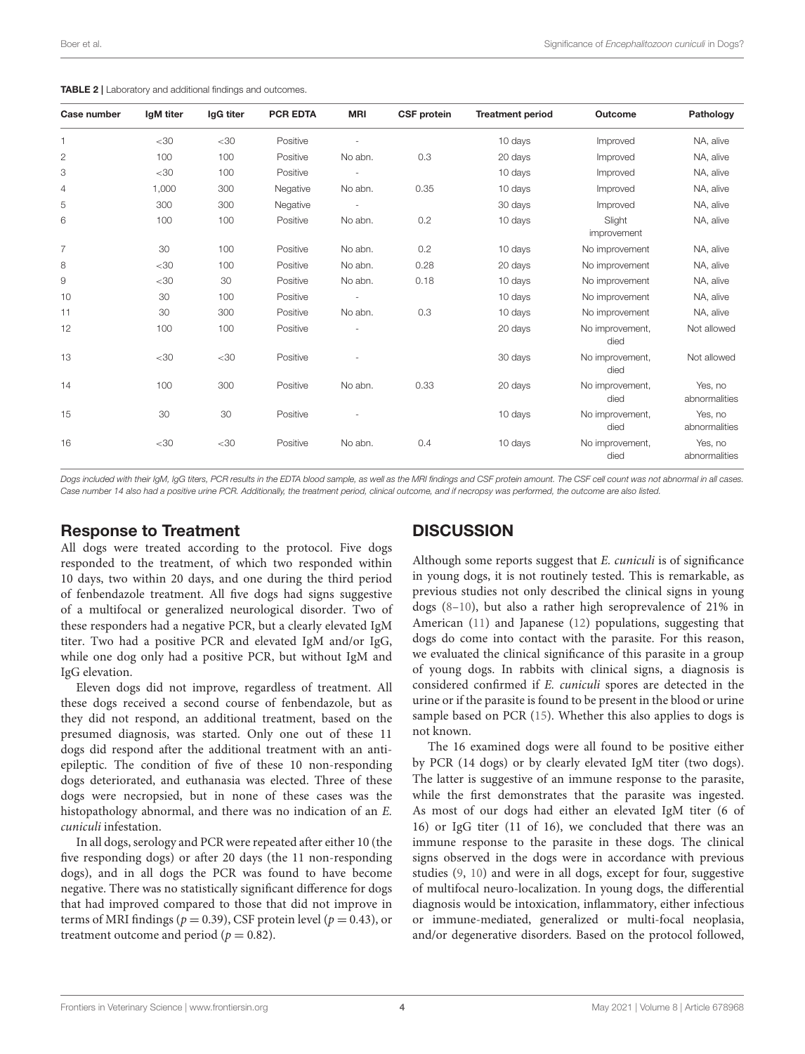| Case number    | IgM titer | IgG titer | <b>PCR EDTA</b> | <b>MRI</b> | <b>CSF protein</b> | <b>Treatment period</b> | Outcome                 | Pathology                |
|----------------|-----------|-----------|-----------------|------------|--------------------|-------------------------|-------------------------|--------------------------|
| $\mathbf{1}$   | $<$ 30    | $<$ 30    | Positive        |            |                    | 10 days                 | Improved                | NA, alive                |
| 2              | 100       | 100       | Positive        | No abn.    | 0.3                | 20 days                 | Improved                | NA, alive                |
| 3              | $<$ 30    | 100       | Positive        |            |                    | 10 days                 | Improved                | NA, alive                |
| 4              | 1,000     | 300       | Negative        | No abn.    | 0.35               | 10 days                 | Improved                | NA, alive                |
| 5              | 300       | 300       | Negative        |            |                    | 30 days                 | Improved                | NA, alive                |
| 6              | 100       | 100       | Positive        | No abn.    | 0.2                | 10 days                 | Slight<br>improvement   | NA, alive                |
| $\overline{7}$ | 30        | 100       | Positive        | No abn.    | 0.2                | 10 days                 | No improvement          | NA, alive                |
| 8              | $<$ 30    | 100       | Positive        | No abn.    | 0.28               | 20 days                 | No improvement          | NA, alive                |
| 9              | $<$ 30    | 30        | Positive        | No abn.    | 0.18               | 10 days                 | No improvement          | NA, alive                |
| 10             | 30        | 100       | Positive        |            |                    | 10 days                 | No improvement          | NA, alive                |
| 11             | 30        | 300       | Positive        | No abn.    | 0.3                | 10 days                 | No improvement          | NA, alive                |
| 12             | 100       | 100       | Positive        |            |                    | 20 days                 | No improvement,<br>died | Not allowed              |
| 13             | $<$ 30    | $<$ 30    | Positive        |            |                    | 30 days                 | No improvement,<br>died | Not allowed              |
| 14             | 100       | 300       | Positive        | No abn.    | 0.33               | 20 days                 | No improvement,<br>died | Yes, no<br>abnormalities |
| 15             | 30        | 30        | Positive        |            |                    | 10 days                 | No improvement,<br>died | Yes, no<br>abnormalities |
| 16             | $<$ 30    | $<$ 30    | Positive        | No abn.    | 0.4                | 10 days                 | No improvement,<br>died | Yes, no<br>abnormalities |

<span id="page-3-0"></span>TABLE 2 | Laboratory and additional findings and outcomes.

*Dogs included with their IgM, IgG titers, PCR results in the EDTA blood sample, as well as the MRI findings and CSF protein amount. The CSF cell count was not abnormal in all cases. Case number 14 also had a positive urine PCR. Additionally, the treatment period, clinical outcome, and if necropsy was performed, the outcome are also listed.*

#### Response to Treatment

**DISCUSSION** 

All dogs were treated according to the protocol. Five dogs responded to the treatment, of which two responded within 10 days, two within 20 days, and one during the third period of fenbendazole treatment. All five dogs had signs suggestive of a multifocal or generalized neurological disorder. Two of these responders had a negative PCR, but a clearly elevated IgM titer. Two had a positive PCR and elevated IgM and/or IgG, while one dog only had a positive PCR, but without IgM and IgG elevation.

Eleven dogs did not improve, regardless of treatment. All these dogs received a second course of fenbendazole, but as they did not respond, an additional treatment, based on the presumed diagnosis, was started. Only one out of these 11 dogs did respond after the additional treatment with an antiepileptic. The condition of five of these 10 non-responding dogs deteriorated, and euthanasia was elected. Three of these dogs were necropsied, but in none of these cases was the histopathology abnormal, and there was no indication of an E. cuniculi infestation.

In all dogs, serology and PCR were repeated after either 10 (the five responding dogs) or after 20 days (the 11 non-responding dogs), and in all dogs the PCR was found to have become negative. There was no statistically significant difference for dogs that had improved compared to those that did not improve in terms of MRI findings ( $p = 0.39$ ), CSF protein level ( $p = 0.43$ ), or treatment outcome and period ( $p = 0.82$ ).

Although some reports suggest that E. cuniculi is of significance in young dogs, it is not routinely tested. This is remarkable, as previous studies not only described the clinical signs in young dogs [\(8–](#page-5-1)[10\)](#page-5-3), but also a rather high seroprevalence of 21% in American [\(11\)](#page-5-4) and Japanese [\(12\)](#page-5-5) populations, suggesting that dogs do come into contact with the parasite. For this reason, we evaluated the clinical significance of this parasite in a group of young dogs. In rabbits with clinical signs, a diagnosis is considered confirmed if E. cuniculi spores are detected in the urine or if the parasite is found to be present in the blood or urine sample based on PCR [\(15\)](#page-5-8). Whether this also applies to dogs is not known.

The 16 examined dogs were all found to be positive either by PCR (14 dogs) or by clearly elevated IgM titer (two dogs). The latter is suggestive of an immune response to the parasite, while the first demonstrates that the parasite was ingested. As most of our dogs had either an elevated IgM titer (6 of 16) or IgG titer (11 of 16), we concluded that there was an immune response to the parasite in these dogs. The clinical signs observed in the dogs were in accordance with previous studies [\(9,](#page-5-2) [10\)](#page-5-3) and were in all dogs, except for four, suggestive of multifocal neuro-localization. In young dogs, the differential diagnosis would be intoxication, inflammatory, either infectious or immune-mediated, generalized or multi-focal neoplasia, and/or degenerative disorders. Based on the protocol followed,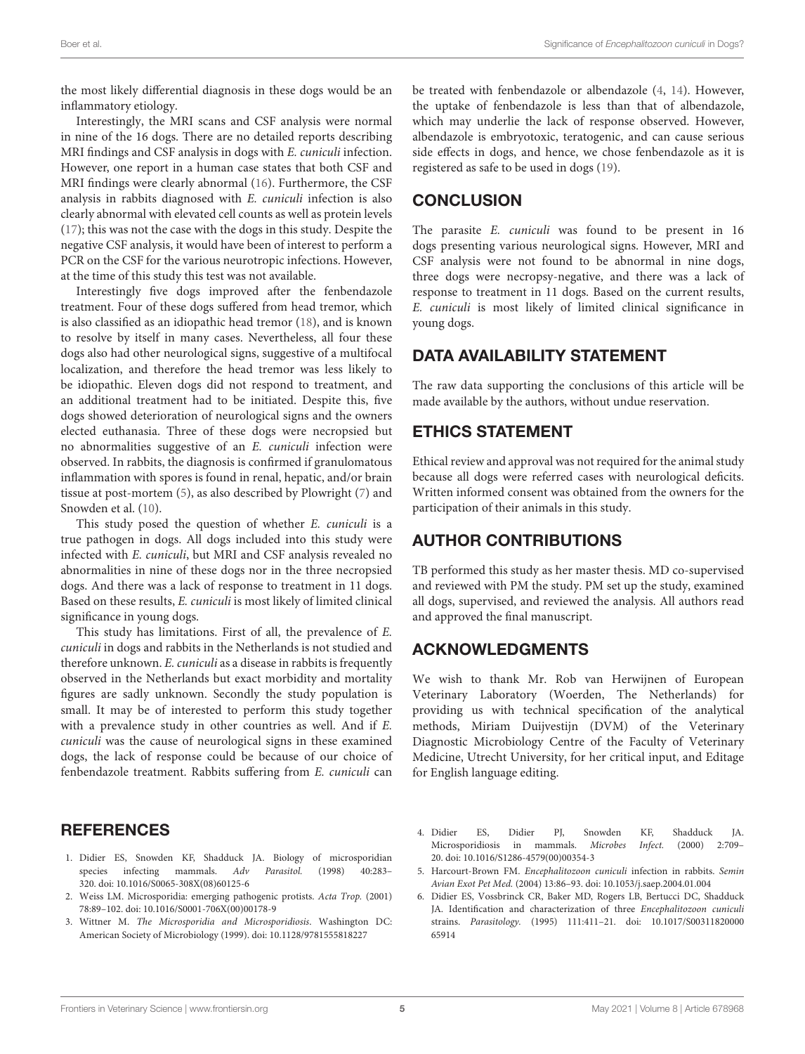the most likely differential diagnosis in these dogs would be an inflammatory etiology.

Interestingly, the MRI scans and CSF analysis were normal in nine of the 16 dogs. There are no detailed reports describing MRI findings and CSF analysis in dogs with E. cuniculi infection. However, one report in a human case states that both CSF and MRI findings were clearly abnormal [\(16\)](#page-5-9). Furthermore, the CSF analysis in rabbits diagnosed with E. cuniculi infection is also clearly abnormal with elevated cell counts as well as protein levels [\(17\)](#page-5-10); this was not the case with the dogs in this study. Despite the negative CSF analysis, it would have been of interest to perform a PCR on the CSF for the various neurotropic infections. However, at the time of this study this test was not available.

Interestingly five dogs improved after the fenbendazole treatment. Four of these dogs suffered from head tremor, which is also classified as an idiopathic head tremor [\(18\)](#page-5-11), and is known to resolve by itself in many cases. Nevertheless, all four these dogs also had other neurological signs, suggestive of a multifocal localization, and therefore the head tremor was less likely to be idiopathic. Eleven dogs did not respond to treatment, and an additional treatment had to be initiated. Despite this, five dogs showed deterioration of neurological signs and the owners elected euthanasia. Three of these dogs were necropsied but no abnormalities suggestive of an E. cuniculi infection were observed. In rabbits, the diagnosis is confirmed if granulomatous inflammation with spores is found in renal, hepatic, and/or brain tissue at post-mortem [\(5\)](#page-4-3), as also described by Plowright [\(7\)](#page-5-0) and Snowden et al. [\(10\)](#page-5-3).

This study posed the question of whether E. cuniculi is a true pathogen in dogs. All dogs included into this study were infected with E. cuniculi, but MRI and CSF analysis revealed no abnormalities in nine of these dogs nor in the three necropsied dogs. And there was a lack of response to treatment in 11 dogs. Based on these results, E. cuniculi is most likely of limited clinical significance in young dogs.

This study has limitations. First of all, the prevalence of E. cuniculi in dogs and rabbits in the Netherlands is not studied and therefore unknown. E. cuniculi as a disease in rabbits is frequently observed in the Netherlands but exact morbidity and mortality figures are sadly unknown. Secondly the study population is small. It may be of interested to perform this study together with a prevalence study in other countries as well. And if E. cuniculi was the cause of neurological signs in these examined dogs, the lack of response could be because of our choice of fenbendazole treatment. Rabbits suffering from E. cuniculi can

#### be treated with fenbendazole or albendazole [\(4,](#page-4-2) [14\)](#page-5-7). However, the uptake of fenbendazole is less than that of albendazole, which may underlie the lack of response observed. However, albendazole is embryotoxic, teratogenic, and can cause serious side effects in dogs, and hence, we chose fenbendazole as it is registered as safe to be used in dogs [\(19\)](#page-5-12).

# **CONCLUSION**

The parasite E. cuniculi was found to be present in 16 dogs presenting various neurological signs. However, MRI and CSF analysis were not found to be abnormal in nine dogs, three dogs were necropsy-negative, and there was a lack of response to treatment in 11 dogs. Based on the current results, E. cuniculi is most likely of limited clinical significance in young dogs.

# DATA AVAILABILITY STATEMENT

The raw data supporting the conclusions of this article will be made available by the authors, without undue reservation.

## ETHICS STATEMENT

Ethical review and approval was not required for the animal study because all dogs were referred cases with neurological deficits. Written informed consent was obtained from the owners for the participation of their animals in this study.

## AUTHOR CONTRIBUTIONS

TB performed this study as her master thesis. MD co-supervised and reviewed with PM the study. PM set up the study, examined all dogs, supervised, and reviewed the analysis. All authors read and approved the final manuscript.

## ACKNOWLEDGMENTS

We wish to thank Mr. Rob van Herwijnen of European Veterinary Laboratory (Woerden, The Netherlands) for providing us with technical specification of the analytical methods, Miriam Duijvestijn (DVM) of the Veterinary Diagnostic Microbiology Centre of the Faculty of Veterinary Medicine, Utrecht University, for her critical input, and Editage for English language editing.

## **REFERENCES**

- <span id="page-4-0"></span>1. Didier ES, Snowden KF, Shadduck JA. Biology of microsporidian species infecting mammals. Adv Parasitol. (1998) 40:283– 320. doi: [10.1016/S0065-308X\(08\)60125-6](https://doi.org/10.1016/S0065-308X(08)60125-6)
- <span id="page-4-1"></span>2. Weiss LM. Microsporidia: emerging pathogenic protists. Acta Trop. (2001) 78:89–102. doi: [10.1016/S0001-706X\(00\)00178-9](https://doi.org/10.1016/S0001-706X(00)00178-9)
- 3. Wittner M. The Microsporidia and Microsporidiosis. Washington DC: American Society of Microbiology (1999). doi: [10.1128/9781555818227](https://doi.org/10.1128/9781555818227)
- <span id="page-4-2"></span>4. Didier ES, Didier PJ, Snowden KF, Shadduck JA. Microsporidiosis in mammals. Microbes Infect. (2000) 2:709– 20. doi: [10.1016/S1286-4579\(00\)00354-3](https://doi.org/10.1016/S1286-4579(00)00354-3)
- <span id="page-4-3"></span>5. Harcourt-Brown FM. Encephalitozoon cuniculi infection in rabbits. Semin Avian Exot Pet Med. (2004) 13:86–93. doi: [10.1053/j.saep.2004.01.004](https://doi.org/10.1053/j.saep.2004.01.004)
- <span id="page-4-4"></span>6. Didier ES, Vossbrinck CR, Baker MD, Rogers LB, Bertucci DC, Shadduck JA. Identification and characterization of three Encephalitozoon cuniculi strains. Parasitology. [\(1995\) 111:411–21. doi: 10.1017/S00311820000](https://doi.org/10.1017/S0031182000065914) 65914